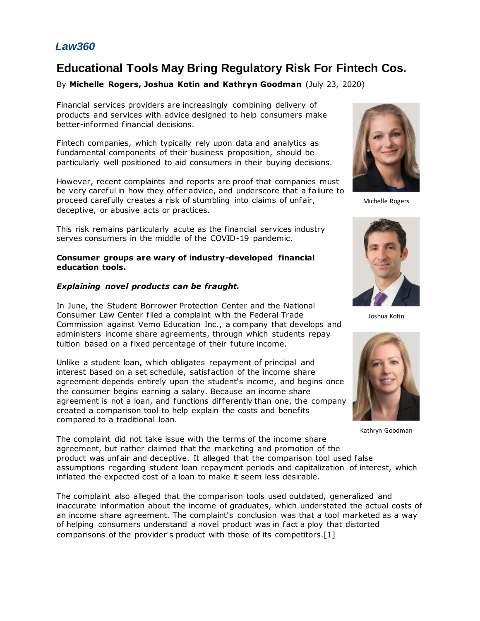# *Law360*

# **Educational Tools May Bring Regulatory Risk For Fintech Cos.**

# By **Michelle Rogers, Joshua Kotin and Kathryn Goodman** (July 23, 2020)

Financial services providers are increasingly combining delivery of products and services with advice designed to help consumers make better-informed financial decisions.

Fintech companies, which typically rely upon data and analytics as fundamental components of their business proposition, should be particularly well positioned to aid consumers in their buying decisions.

However, recent complaints and reports are proof that companies must be very careful in how they of fer advice, and underscore that a failure to proceed carefully creates a risk of stumbling into claims of unfair, deceptive, or abusive acts or practices.

This risk remains particularly acute as the financial services industry serves consumers in the middle of the COVID-19 pandemic.

#### **Consumer groups are wary of industry-developed financial education tools.**

#### *Explaining novel products can be fraught.*

In June, the Student Borrower Protection Center and the [National](https://www.law360.com/companies/national-consumer-law-center)  [Consumer Law Center](https://www.law360.com/companies/national-consumer-law-center) filed a complaint with the [Federal Trade](https://www.law360.com/agencies/federal-trade-commission)  [Commission](https://www.law360.com/agencies/federal-trade-commission) against Vemo Education Inc., a company that develops and administers income share agreements, through which students repay tuition based on a fixed percentage of their future income.

Unlike a student loan, which obligates repayment of principal and interest based on a set schedule, satisfaction of the income share agreement depends entirely upon the student's income, and begins once the consumer begins earning a salary. Because an income share agreement is not a loan, and functions differently than one, the company created a comparison tool to help explain the costs and benefits compared to a traditional loan.



Michelle Rogers



Joshua Kotin



Kathryn Goodman

The complaint did not take issue with the terms of the income share agreement, but rather claimed that the marketing and promotion of the product was unfair and deceptive. It alleged that the comparison tool used false assumptions regarding student loan repayment periods and capitalization of interest, which inflated the expected cost of a loan to make it seem less desirable.

The complaint also alleged that the comparison tools used outdated, generalized and inaccurate information about the income of graduates, which understated the actual costs of an income share agreement. The complaint's conclusion was that a tool marketed as a way of helping consumers understand a novel product was in fact a ploy that distorted comparisons of the provider's product with those of its competitors.[1]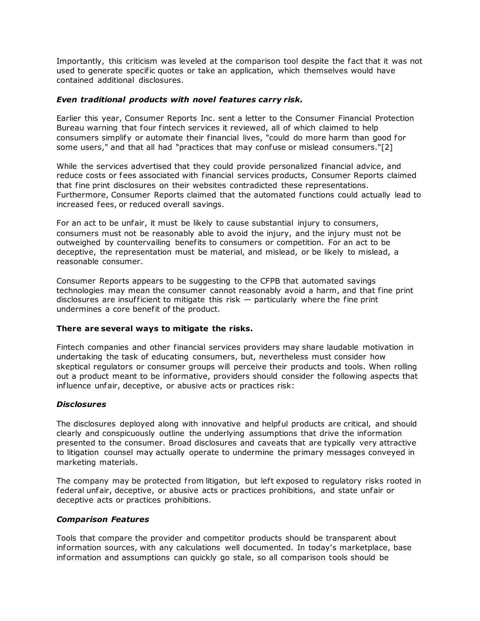Importantly, this criticism was leveled at the comparison tool despite the fact that it was not used to generate specific quotes or take an application, which themselves would have contained additional disclosures.

## *Even traditional products with novel features carry risk.*

Earlier this year, [Consumer Reports Inc.](https://www.law360.com/companies/consumer-reports-inc) sent a letter to the [Consumer Financial Protection](https://www.law360.com/agencies/consumer-financial-protection-bureau)  [Bureau](https://www.law360.com/agencies/consumer-financial-protection-bureau) warning that four fintech services it reviewed, all of which claimed to help consumers simplify or automate their financial lives, "could do more harm than good for some users," and that all had "practices that may confuse or mislead consumers."[2]

While the services advertised that they could provide personalized financial advice, and reduce costs or fees associated with financial services products, Consumer Reports claimed that fine print disclosures on their websites contradicted these representations. Furthermore, Consumer Reports claimed that the automated functions could actually lead to increased fees, or reduced overall savings.

For an act to be unfair, it must be likely to cause substantial injury to consumers, consumers must not be reasonably able to avoid the injury, and the injury must not be outweighed by countervailing benefits to consumers or competition. For an act to be deceptive, the representation must be material, and mislead, or be likely to mislead, a reasonable consumer.

Consumer Reports appears to be suggesting to the CFPB that automated savings technologies may mean the consumer cannot reasonably avoid a harm, and that fine print disclosures are insufficient to mitigate this risk  $-$  particularly where the fine print undermines a core benefit of the product.

#### **There are several ways to mitigate the risks.**

Fintech companies and other financial services providers may share laudable motivation in undertaking the task of educating consumers, but, nevertheless must consider how skeptical regulators or consumer groups will perceive their products and tools. When rolling out a product meant to be informative, providers should consider the following aspects that influence unfair, deceptive, or abusive acts or practices risk:

#### *Disclosures*

The disclosures deployed along with innovative and helpful products are critical, and should clearly and conspicuously outline the underlying assumptions that drive the information presented to the consumer. Broad disclosures and caveats that are typically very attractive to litigation counsel may actually operate to undermine the primary messages conveyed in marketing materials.

The company may be protected from litigation, but left exposed to regulatory risks rooted in federal unfair, deceptive, or abusive acts or practices prohibitions, and state unfair or deceptive acts or practices prohibitions.

#### *Comparison Features*

Tools that compare the provider and competitor products should be transparent about information sources, with any calculations well documented. In today's marketplace, base information and assumptions can quickly go stale, so all comparison tools should be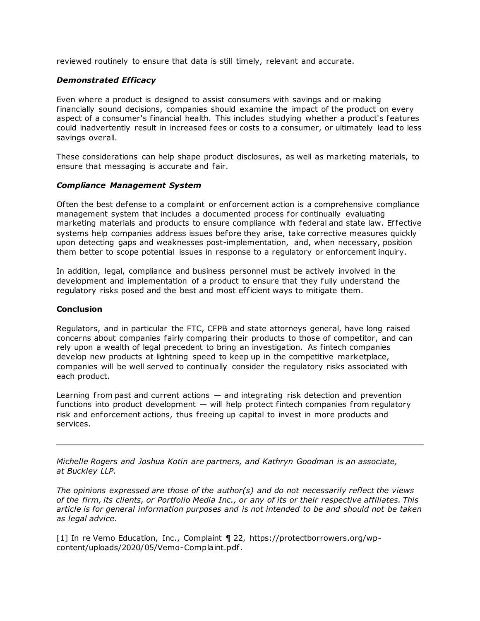reviewed routinely to ensure that data is still timely, relevant and accurate.

# *Demonstrated Efficacy*

Even where a product is designed to assist consumers with savings and or making financially sound decisions, companies should examine the impact of the product on every aspect of a consumer's financial health. This includes studying whether a product's features could inadvertently result in increased fees or costs to a consumer, or ultimately lead to less savings overall.

These considerations can help shape product disclosures, as well as marketing materials, to ensure that messaging is accurate and fair.

#### *Compliance Management System*

Often the best defense to a complaint or enforcement action is a comprehensive compliance management system that includes a documented process for continually evaluating marketing materials and products to ensure compliance with federal and state law. Effective systems help companies address issues before they arise, take corrective measures quickly upon detecting gaps and weaknesses post-implementation, and, when necessary, position them better to scope potential issues in response to a regulatory or enforcement inquiry.

In addition, legal, compliance and business personnel must be actively involved in the development and implementation of a product to ensure that they fully understand the regulatory risks posed and the best and most ef ficient ways to mitigate them.

## **Conclusion**

Regulators, and in particular the FTC, CFPB and state attorneys general, have long raised concerns about companies fairly comparing their products to those of competitor, and can rely upon a wealth of legal precedent to bring an investigation. As fintech companies develop new products at lightning speed to keep up in the competitive marketplace, companies will be well served to continually consider the regulatory risks associated with each product.

Learning from past and current actions  $-$  and integrating risk detection and prevention functions into product development  $-$  will help protect fintech companies from regulatory risk and enforcement actions, thus freeing up capital to invest in more products and services.

*[Michelle Rogers](https://buckleyfirm.com/people/michelle-l-rogers) and [Joshua Kotin](https://buckleyfirm.com/people/h-joshua-kotin) are partners, and [Kathryn Goodman](https://buckleyfirm.com/people/kathryn-r-goodman) is an associate, at [Buckley LLP.](https://www.law360.com/firms/buckley-llp)*

*The opinions expressed are those of the author(s) and do not necessarily reflect the views of the firm, its clients, or Portfolio Media Inc., or any of its or their respective affiliates. This article is for general information purposes and is not intended to be and should not be taken as legal advice.*

[1] In re Vemo Education, Inc., Complaint ¶ 22, [https://protectborrowers.org/wp](https://protectborrowers.org/wp-content/uploads/2020/05/Vemo-Complaint.pdf)[content/uploads/2020/05/Vemo-Complaint.pdf.](https://protectborrowers.org/wp-content/uploads/2020/05/Vemo-Complaint.pdf)